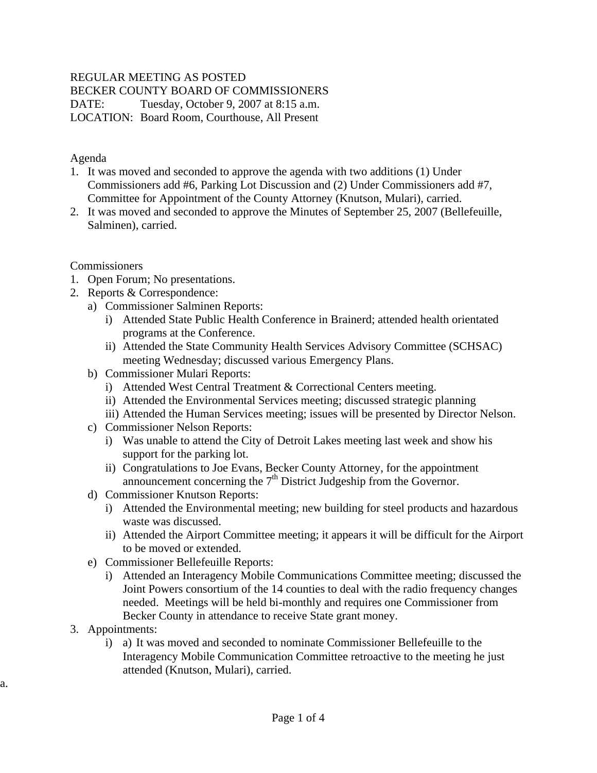### REGULAR MEETING AS POSTED

BECKER COUNTY BOARD OF COMMISSIONERS

DATE: Tuesday, October 9, 2007 at 8:15 a.m.

LOCATION: Board Room, Courthouse, All Present

Agenda

- 1. It was moved and seconded to approve the agenda with two additions (1) Under Commissioners add #6, Parking Lot Discussion and (2) Under Commissioners add #7, Committee for Appointment of the County Attorney (Knutson, Mulari), carried.
- 2. It was moved and seconded to approve the Minutes of September 25, 2007 (Bellefeuille, Salminen), carried.

Commissioners

- 1. Open Forum; No presentations.
- 2. Reports & Correspondence:
	- a) Commissioner Salminen Reports:
		- i) Attended State Public Health Conference in Brainerd; attended health orientated programs at the Conference.
		- ii) Attended the State Community Health Services Advisory Committee (SCHSAC) meeting Wednesday; discussed various Emergency Plans.
	- b) Commissioner Mulari Reports:
		- i) Attended West Central Treatment & Correctional Centers meeting.
		- ii) Attended the Environmental Services meeting; discussed strategic planning
		- iii) Attended the Human Services meeting; issues will be presented by Director Nelson.
	- c) Commissioner Nelson Reports:
		- i) Was unable to attend the City of Detroit Lakes meeting last week and show his support for the parking lot.
		- ii) Congratulations to Joe Evans, Becker County Attorney, for the appointment announcement concerning the  $7<sup>th</sup>$  District Judgeship from the Governor.
	- d) Commissioner Knutson Reports:
		- i) Attended the Environmental meeting; new building for steel products and hazardous waste was discussed.
		- ii) Attended the Airport Committee meeting; it appears it will be difficult for the Airport to be moved or extended.
	- e) Commissioner Bellefeuille Reports:
		- i) Attended an Interagency Mobile Communications Committee meeting; discussed the Joint Powers consortium of the 14 counties to deal with the radio frequency changes needed. Meetings will be held bi-monthly and requires one Commissioner from Becker County in attendance to receive State grant money.
- 3. Appointments:

a.

i) a) It was moved and seconded to nominate Commissioner Bellefeuille to the Interagency Mobile Communication Committee retroactive to the meeting he just attended (Knutson, Mulari), carried.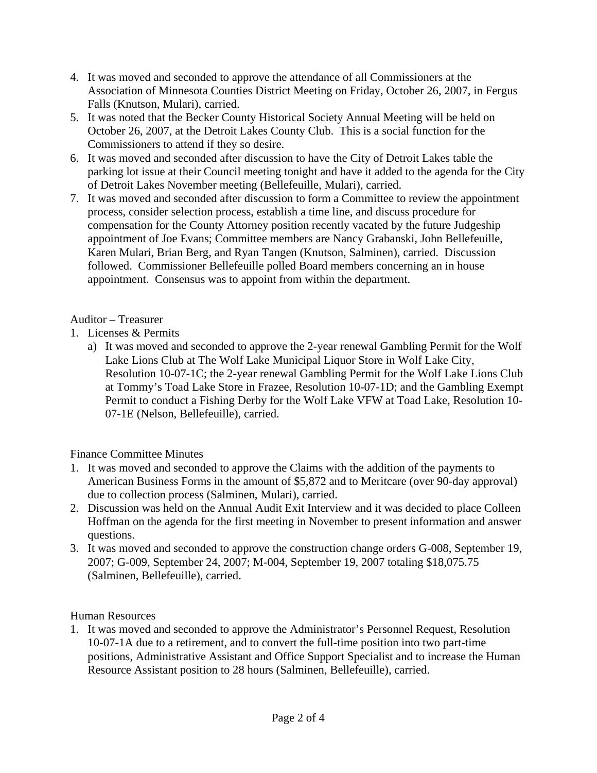- 4. It was moved and seconded to approve the attendance of all Commissioners at the Association of Minnesota Counties District Meeting on Friday, October 26, 2007, in Fergus Falls (Knutson, Mulari), carried.
- 5. It was noted that the Becker County Historical Society Annual Meeting will be held on October 26, 2007, at the Detroit Lakes County Club. This is a social function for the Commissioners to attend if they so desire.
- 6. It was moved and seconded after discussion to have the City of Detroit Lakes table the parking lot issue at their Council meeting tonight and have it added to the agenda for the City of Detroit Lakes November meeting (Bellefeuille, Mulari), carried.
- 7. It was moved and seconded after discussion to form a Committee to review the appointment process, consider selection process, establish a time line, and discuss procedure for compensation for the County Attorney position recently vacated by the future Judgeship appointment of Joe Evans; Committee members are Nancy Grabanski, John Bellefeuille, Karen Mulari, Brian Berg, and Ryan Tangen (Knutson, Salminen), carried. Discussion followed. Commissioner Bellefeuille polled Board members concerning an in house appointment. Consensus was to appoint from within the department.

### Auditor – Treasurer

- 1. Licenses & Permits
	- a) It was moved and seconded to approve the 2-year renewal Gambling Permit for the Wolf Lake Lions Club at The Wolf Lake Municipal Liquor Store in Wolf Lake City, Resolution 10-07-1C; the 2-year renewal Gambling Permit for the Wolf Lake Lions Club at Tommy's Toad Lake Store in Frazee, Resolution 10-07-1D; and the Gambling Exempt Permit to conduct a Fishing Derby for the Wolf Lake VFW at Toad Lake, Resolution 10- 07-1E (Nelson, Bellefeuille), carried.

# Finance Committee Minutes

- 1. It was moved and seconded to approve the Claims with the addition of the payments to American Business Forms in the amount of \$5,872 and to Meritcare (over 90-day approval) due to collection process (Salminen, Mulari), carried.
- 2. Discussion was held on the Annual Audit Exit Interview and it was decided to place Colleen Hoffman on the agenda for the first meeting in November to present information and answer questions.
- 3. It was moved and seconded to approve the construction change orders G-008, September 19, 2007; G-009, September 24, 2007; M-004, September 19, 2007 totaling \$18,075.75 (Salminen, Bellefeuille), carried.

#### Human Resources

1. It was moved and seconded to approve the Administrator's Personnel Request, Resolution 10-07-1A due to a retirement, and to convert the full-time position into two part-time positions, Administrative Assistant and Office Support Specialist and to increase the Human Resource Assistant position to 28 hours (Salminen, Bellefeuille), carried.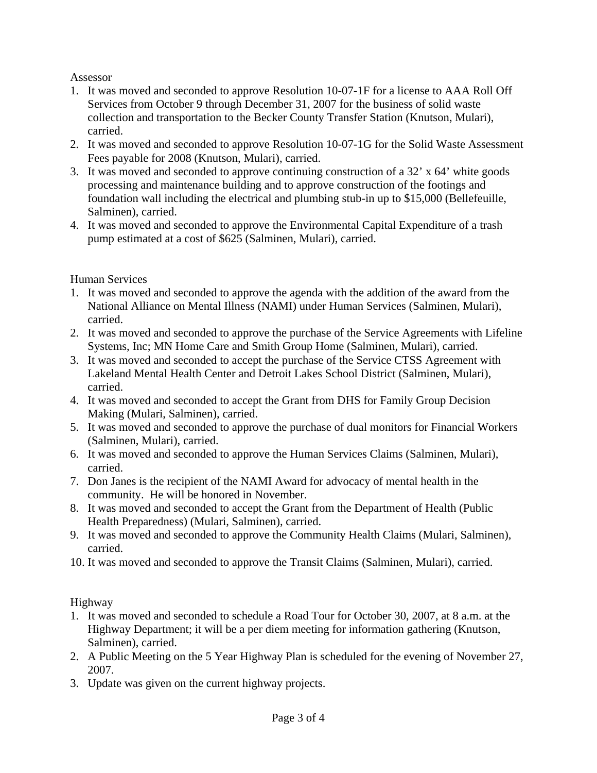### Assessor

- 1. It was moved and seconded to approve Resolution 10-07-1F for a license to AAA Roll Off Services from October 9 through December 31, 2007 for the business of solid waste collection and transportation to the Becker County Transfer Station (Knutson, Mulari), carried.
- 2. It was moved and seconded to approve Resolution 10-07-1G for the Solid Waste Assessment Fees payable for 2008 (Knutson, Mulari), carried.
- 3. It was moved and seconded to approve continuing construction of a 32' x 64' white goods processing and maintenance building and to approve construction of the footings and foundation wall including the electrical and plumbing stub-in up to \$15,000 (Bellefeuille, Salminen), carried.
- 4. It was moved and seconded to approve the Environmental Capital Expenditure of a trash pump estimated at a cost of \$625 (Salminen, Mulari), carried.

# Human Services

- 1. It was moved and seconded to approve the agenda with the addition of the award from the National Alliance on Mental Illness (NAMI) under Human Services (Salminen, Mulari), carried.
- 2. It was moved and seconded to approve the purchase of the Service Agreements with Lifeline Systems, Inc; MN Home Care and Smith Group Home (Salminen, Mulari), carried.
- 3. It was moved and seconded to accept the purchase of the Service CTSS Agreement with Lakeland Mental Health Center and Detroit Lakes School District (Salminen, Mulari), carried.
- 4. It was moved and seconded to accept the Grant from DHS for Family Group Decision Making (Mulari, Salminen), carried.
- 5. It was moved and seconded to approve the purchase of dual monitors for Financial Workers (Salminen, Mulari), carried.
- 6. It was moved and seconded to approve the Human Services Claims (Salminen, Mulari), carried.
- 7. Don Janes is the recipient of the NAMI Award for advocacy of mental health in the community. He will be honored in November.
- 8. It was moved and seconded to accept the Grant from the Department of Health (Public Health Preparedness) (Mulari, Salminen), carried.
- 9. It was moved and seconded to approve the Community Health Claims (Mulari, Salminen), carried.
- 10. It was moved and seconded to approve the Transit Claims (Salminen, Mulari), carried.

# Highway

- 1. It was moved and seconded to schedule a Road Tour for October 30, 2007, at 8 a.m. at the Highway Department; it will be a per diem meeting for information gathering (Knutson, Salminen), carried.
- 2. A Public Meeting on the 5 Year Highway Plan is scheduled for the evening of November 27, 2007.
- 3. Update was given on the current highway projects.